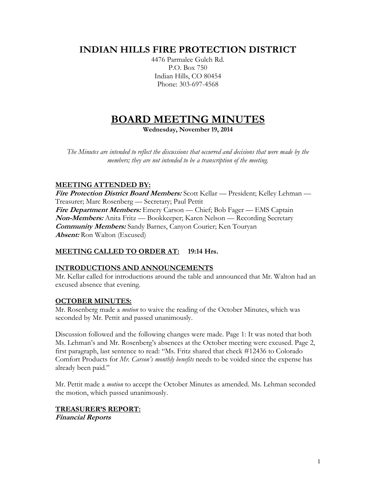# **INDIAN HILLS FIRE PROTECTION DISTRICT**

4476 Parmalee Gulch Rd. P.O. Box 750 Indian Hills, CO 80454 Phone: 303-697-4568

# **BOARD MEETING MINUTES**

**Wednesday, November 19, 2014**

*The Minutes are intended to reflect the discussions that occurred and decisions that were made by the members; they are not intended to be a transcription of the meeting.*

# **MEETING ATTENDED BY:**

**Fire Protection District Board Members:** Scott Kellar — President; Kelley Lehman — Treasurer; Marc Rosenberg — Secretary; Paul Pettit **Fire Department Members:** Emery Carson — Chief; Bob Fager — EMS Captain **Non-Members:** Anita Fritz — Bookkeeper; Karen Nelson — Recording Secretary **Community Members:** Sandy Barnes, Canyon Courier; Ken Touryan **Absent:** Ron Walton (Excused)

# **MEETING CALLED TO ORDER AT: 19:14 Hrs.**

# **INTRODUCTIONS AND ANNOUNCEMENTS**

Mr. Kellar called for introductions around the table and announced that Mr. Walton had an excused absence that evening.

# **OCTOBER MINUTES:**

Mr. Rosenberg made a *motion* to waive the reading of the October Minutes, which was seconded by Mr. Pettit and passed unanimously.

Discussion followed and the following changes were made. Page 1: It was noted that both Ms. Lehman's and Mr. Rosenberg's absences at the October meeting were excused. Page 2, first paragraph, last sentence to read: "Ms. Fritz shared that check #12436 to Colorado Comfort Products for *Mr. Carson's monthly benefits* needs to be voided since the expense has already been paid."

Mr. Pettit made a *motion* to accept the October Minutes as amended. Ms. Lehman seconded the motion, which passed unanimously.

#### **TREASURER'S REPORT: Financial Reports**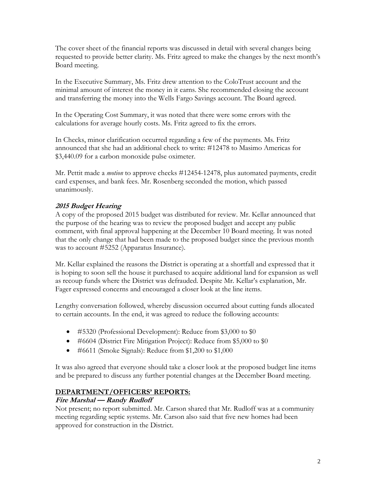The cover sheet of the financial reports was discussed in detail with several changes being requested to provide better clarity. Ms. Fritz agreed to make the changes by the next month's Board meeting.

In the Executive Summary, Ms. Fritz drew attention to the ColoTrust account and the minimal amount of interest the money in it earns. She recommended closing the account and transferring the money into the Wells Fargo Savings account. The Board agreed.

In the Operating Cost Summary, it was noted that there were some errors with the calculations for average hourly costs. Ms. Fritz agreed to fix the errors.

In Checks, minor clarification occurred regarding a few of the payments. Ms. Fritz announced that she had an additional check to write: #12478 to Masimo Americas for \$3,440.09 for a carbon monoxide pulse oximeter.

Mr. Pettit made a *motion* to approve checks #12454-12478, plus automated payments, credit card expenses, and bank fees. Mr. Rosenberg seconded the motion, which passed unanimously.

# **2015 Budget Hearing**

A copy of the proposed 2015 budget was distributed for review. Mr. Kellar announced that the purpose of the hearing was to review the proposed budget and accept any public comment, with final approval happening at the December 10 Board meeting. It was noted that the only change that had been made to the proposed budget since the previous month was to account #5252 (Apparatus Insurance).

Mr. Kellar explained the reasons the District is operating at a shortfall and expressed that it is hoping to soon sell the house it purchased to acquire additional land for expansion as well as recoup funds where the District was defrauded. Despite Mr. Kellar's explanation, Mr. Fager expressed concerns and encouraged a closer look at the line items.

Lengthy conversation followed, whereby discussion occurred about cutting funds allocated to certain accounts. In the end, it was agreed to reduce the following accounts:

- #5320 (Professional Development): Reduce from \$3,000 to \$0
- #6604 (District Fire Mitigation Project): Reduce from \$5,000 to \$0
- #6611 (Smoke Signals): Reduce from \$1,200 to \$1,000

It was also agreed that everyone should take a closer look at the proposed budget line items and be prepared to discuss any further potential changes at the December Board meeting.

# **DEPARTMENT/OFFICERS' REPORTS:**

# **Fire Marshal — Randy Rudloff**

Not present; no report submitted. Mr. Carson shared that Mr. Rudloff was at a community meeting regarding septic systems. Mr. Carson also said that five new homes had been approved for construction in the District.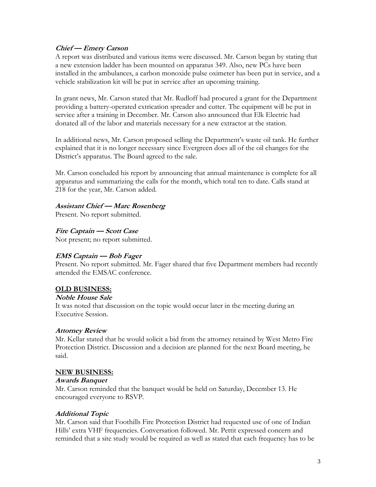#### **Chief — Emery Carson**

A report was distributed and various items were discussed. Mr. Carson began by stating that a new extension ladder has been mounted on apparatus 349. Also, new PCs have been installed in the ambulances, a carbon monoxide pulse oximeter has been put in service, and a vehicle stabilization kit will be put in service after an upcoming training.

In grant news, Mr. Carson stated that Mr. Rudloff had procured a grant for the Department providing a battery-operated extrication spreader and cutter. The equipment will be put in service after a training in December. Mr. Carson also announced that Elk Electric had donated all of the labor and materials necessary for a new extractor at the station.

In additional news, Mr. Carson proposed selling the Department's waste oil tank. He further explained that it is no longer necessary since Evergreen does all of the oil changes for the District's apparatus. The Board agreed to the sale.

Mr. Carson concluded his report by announcing that annual maintenance is complete for all apparatus and summarizing the calls for the month, which total ten to date. Calls stand at 218 for the year, Mr. Carson added.

#### **Assistant Chief — Marc Rosenberg**

Present. No report submitted.

**Fire Captain — Scott Case**

Not present; no report submitted.

# **EMS Captain — Bob Fager**

Present. No report submitted. Mr. Fager shared that five Department members had recently attended the EMSAC conference.

#### **OLD BUSINESS:**

#### **Noble House Sale**

It was noted that discussion on the topic would occur later in the meeting during an Executive Session.

#### **Attorney Review**

Mr. Kellar stated that he would solicit a bid from the attorney retained by West Metro Fire Protection District. Discussion and a decision are planned for the next Board meeting, he said.

#### **NEW BUSINESS:**

#### **Awards Banquet**

Mr. Carson reminded that the banquet would be held on Saturday, December 13. He encouraged everyone to RSVP.

#### **Additional Topic**

Mr. Carson said that Foothills Fire Protection District had requested use of one of Indian Hills' extra VHF frequencies. Conversation followed. Mr. Pettit expressed concern and reminded that a site study would be required as well as stated that each frequency has to be